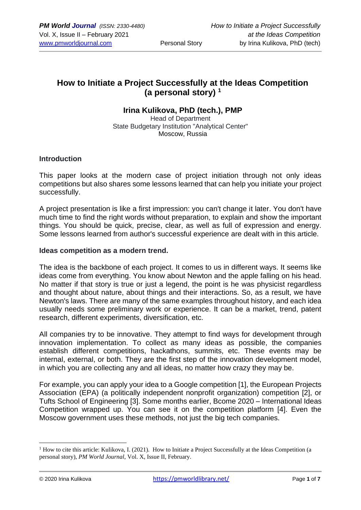## **How to Initiate a Project Successfully at the Ideas Competition (a personal story) <sup>1</sup>**

### **Irina Kulikova, PhD (tech.), PMP**

Head of Department State Budgetary Institution "Analytical Center" Moscow, Russia

#### **Introduction**

This paper looks at the modern case of project initiation through not only ideas competitions but also shares some lessons learned that can help you initiate your project successfully.

A project presentation is like a first impression: you can't change it later. You don't have much time to find the right words without preparation, to explain and show the important things. You should be quick, precise, clear, as well as full of expression and energy. Some lessons learned from author's successful experience are dealt with in this article.

#### **Ideas competition as a modern trend.**

The idea is the backbone of each project. It comes to us in different ways. It seems like ideas come from everything. You know about Newton and the apple falling on his head. No matter if that story is true or just a legend, the point is he was physicist regardless and thought about nature, about things and their interactions. So, as a result, we have Newton's laws. There are many of the same examples throughout history, and each idea usually needs some preliminary work or experience. It can be a market, trend, patent research, different experiments, diversification, etc.

All companies try to be innovative. They attempt to find ways for development through innovation implementation. To collect as many ideas as possible, the companies establish different competitions, hackathons, summits, etc. These events may be internal, external, or both. They are the first step of the innovation development model, in which you are collecting any and all ideas, no matter how crazy they may be.

For example, you can apply your idea to a Google competition [1], the European Projects Association (EPA) (a politically independent nonprofit organization) competition [2], or Tufts School of Engineering [3]. Some months earlier, Bcome 2020 – International Ideas Competition wrapped up. You can see it on the competition platform [4]. Even the Moscow government uses these methods, not just the big tech companies.

<sup>&</sup>lt;sup>1</sup> How to cite this article: Kulikova, I. (2021). How to Initiate a Project Successfully at the Ideas Competition (a personal story), *PM World Journal*, Vol. X, Issue II, February.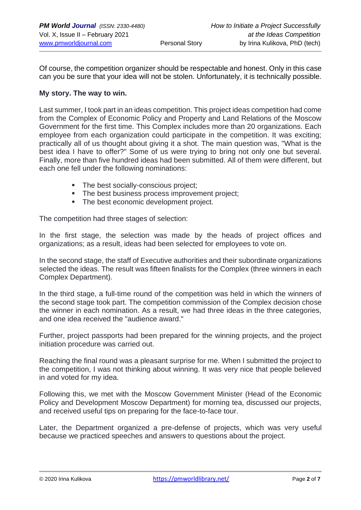Of course, the competition organizer should be respectable and honest. Only in this case can you be sure that your idea will not be stolen. Unfortunately, it is technically possible.

#### **My story. The way to win.**

Last summer, I took part in an ideas competition. This project ideas competition had come from the Complex of Economic Policy and Property and Land Relations of the Moscow Government for the first time. This Complex includes more than 20 organizations. Each employee from each organization could participate in the competition. It was exciting; practically all of us thought about giving it a shot. The main question was, "What is the best idea I have to offer?" Some of us were trying to bring not only one but several. Finally, more than five hundred ideas had been submitted. All of them were different, but each one fell under the following nominations:

- **The best socially-conscious project:**
- **The best business process improvement project;**
- **The best economic development project.**

The competition had three stages of selection:

In the first stage, the selection was made by the heads of project offices and organizations; as a result, ideas had been selected for employees to vote on.

In the second stage, the staff of Executive authorities and their subordinate organizations selected the ideas. The result was fifteen finalists for the Complex (three winners in each Complex Department).

In the third stage, a full-time round of the competition was held in which the winners of the second stage took part. The competition commission of the Complex decision chose the winner in each nomination. As a result, we had three ideas in the three categories, and one idea received the "audience award."

Further, project passports had been prepared for the winning projects, and the project initiation procedure was carried out.

Reaching the final round was a pleasant surprise for me. When I submitted the project to the competition, I was not thinking about winning. It was very nice that people believed in and voted for my idea.

Following this, we met with the Moscow Government Minister (Head of the Economic Policy and Development Moscow Department) for morning tea, discussed our projects, and received useful tips on preparing for the face-to-face tour.

Later, the Department organized a pre-defense of projects, which was very useful because we practiced speeches and answers to questions about the project.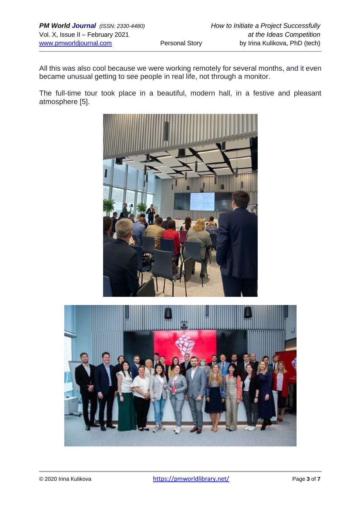All this was also cool because we were working remotely for several months, and it even became unusual getting to see people in real life, not through a monitor.

The full-time tour took place in a beautiful, modern hall, in a festive and pleasant atmosphere [5].



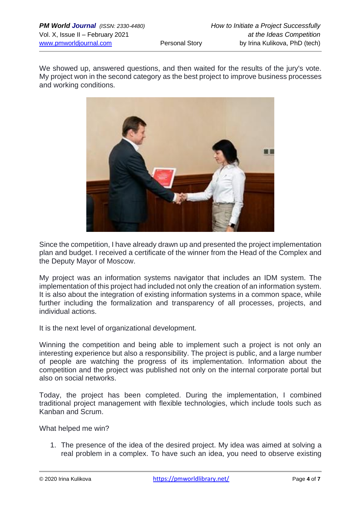We showed up, answered questions, and then waited for the results of the jury's vote. My project won in the second category as the best project to improve business processes and working conditions.



Since the competition, I have already drawn up and presented the project implementation plan and budget. I received a certificate of the winner from the Head of the Complex and the Deputy Mayor of Moscow.

My project was an information systems navigator that includes an IDM system. The implementation of this project had included not only the creation of an information system. It is also about the integration of existing information systems in a common space, while further including the formalization and transparency of all processes, projects, and individual actions.

It is the next level of organizational development.

Winning the competition and being able to implement such a project is not only an interesting experience but also a responsibility. The project is public, and a large number of people are watching the progress of its implementation. Information about the competition and the project was published not only on the internal corporate portal but also on social networks.

Today, the project has been completed. During the implementation, I combined traditional project management with flexible technologies, which include tools such as Kanban and Scrum.

What helped me win?

1. The presence of the idea of the desired project. My idea was aimed at solving a real problem in a complex. To have such an idea, you need to observe existing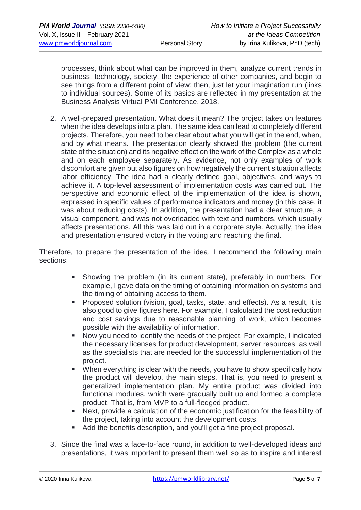processes, think about what can be improved in them, analyze current trends in business, technology, society, the experience of other companies, and begin to see things from a different point of view; then, just let your imagination run (links to individual sources). Some of its basics are reflected in my presentation at the Business Analysis Virtual PMI Conference, 2018.

2. A well-prepared presentation. What does it mean? The project takes on features when the idea develops into a plan. The same idea can lead to completely different projects. Therefore, you need to be clear about what you will get in the end, when, and by what means. The presentation clearly showed the problem (the current state of the situation) and its negative effect on the work of the Complex as a whole and on each employee separately. As evidence, not only examples of work discomfort are given but also figures on how negatively the current situation affects labor efficiency. The idea had a clearly defined goal, objectives, and ways to achieve it. A top-level assessment of implementation costs was carried out. The perspective and economic effect of the implementation of the idea is shown, expressed in specific values of performance indicators and money (in this case, it was about reducing costs). In addition, the presentation had a clear structure, a visual component, and was not overloaded with text and numbers, which usually affects presentations. All this was laid out in a corporate style. Actually, the idea and presentation ensured victory in the voting and reaching the final.

Therefore, to prepare the presentation of the idea, I recommend the following main sections:

- **EXEDENT** Showing the problem (in its current state), preferably in numbers. For example, I gave data on the timing of obtaining information on systems and the timing of obtaining access to them.
- Proposed solution (vision, goal, tasks, state, and effects). As a result, it is also good to give figures here. For example, I calculated the cost reduction and cost savings due to reasonable planning of work, which becomes possible with the availability of information.
- Now you need to identify the needs of the project. For example, I indicated the necessary licenses for product development, server resources, as well as the specialists that are needed for the successful implementation of the project.
- When everything is clear with the needs, you have to show specifically how the product will develop, the main steps. That is, you need to present a generalized implementation plan. My entire product was divided into functional modules, which were gradually built up and formed a complete product. That is, from MVP to a full-fledged product.
- Next, provide a calculation of the economic iustification for the feasibility of the project, taking into account the development costs.
- Add the benefits description, and you'll get a fine project proposal.
- 3. Since the final was a face-to-face round, in addition to well-developed ideas and presentations, it was important to present them well so as to inspire and interest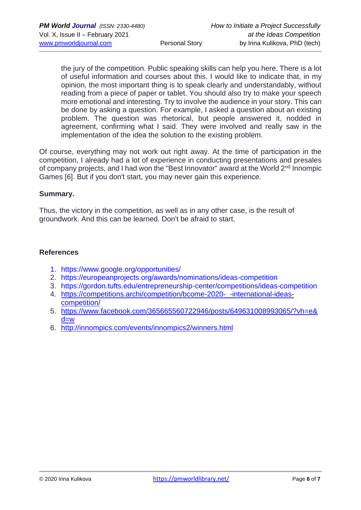the jury of the competition. Public speaking skills can help you here. There is a lot of useful information and courses about this. I would like to indicate that, in my opinion, the most important thing is to speak clearly and understandably, without reading from a piece of paper or tablet. You should also try to make your speech more emotional and interesting. Try to involve the audience in your story. This can be done by asking a question. For example, I asked a question about an existing problem. The question was rhetorical, but people answered it, nodded in agreement, confirming what I said. They were involved and really saw in the implementation of the idea the solution to the existing problem.

Of course, everything may not work out right away. At the time of participation in the competition, I already had a lot of experience in conducting presentations and presales of company projects, and I had won the "Best Innovator" award at the World 2<sup>nd</sup> Innompic Games [6]. But if you don't start, you may never gain this experience.

#### **Summary.**

Thus, the victory in the competition, as well as in any other case, is the result of groundwork. And this can be learned. Don't be afraid to start.

#### **References**

- 1. <https://www.google.org/opportunities/>
- 2. <https://europeanprojects.org/awards/nominations/ideas-competition>
- 3. [https://gordon.tufts.edu/entrepreneurship-center/competitions/ideas-competition](file://///Users/irina/Library/Mobile%20Documents/com~apple~CloudDocs/PMI/%252522)
- 4. https://competitions.archi/competition/bcome-2020--international-ideas[competition/](https://competitions.archi/competition/bcome-2020-_-international-ideas-competition/)
- 5. [https://www.facebook.com/365665560722946/posts/649631008993065/?vh=e&](https://www.facebook.com/365665560722946/posts/649631008993065/?vh=e&d=w) [d=w](https://www.facebook.com/365665560722946/posts/649631008993065/?vh=e&d=w)
- 6. <http://innompics.com/events/innompics2/winners.html>